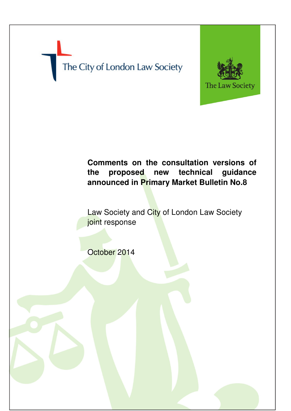# The City of London Law Society



# **Comments on the consultation versions of the proposed new technical guidance announced in Primary Market Bulletin No.8**

Law Society and City of London Law Society joint response

October 2014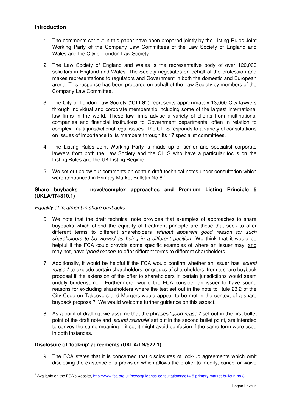# **Introduction**

- 1. The comments set out in this paper have been prepared jointly by the Listing Rules Joint Working Party of the Company Law Committees of the Law Society of England and Wales and the City of London Law Society.
- 2. The Law Society of England and Wales is the representative body of over 120,000 solicitors in England and Wales. The Society negotiates on behalf of the profession and makes representations to regulators and Government in both the domestic and European arena. This response has been prepared on behalf of the Law Society by members of the Company Law Committee.
- 3. The City of London Law Society ("**CLLS"**) represents approximately 13,000 City lawyers through individual and corporate membership including some of the largest international law firms in the world. These law firms advise a variety of clients from multinational companies and financial institutions to Government departments, often in relation to complex, multi-jurisdictional legal issues. The CLLS responds to a variety of consultations on issues of importance to its members through its 17 specialist committees.
- 4. The Listing Rules Joint Working Party is made up of senior and specialist corporate lawyers from both the Law Society and the CLLS who have a particular focus on the Listing Rules and the UK Listing Regime.
- 5. We set out below our comments on certain draft technical notes under consultation which were announced in Primary Market Bulletin No.8.<sup>1</sup>

## **Share buybacks – novel/complex approaches and Premium Listing Principle 5 (UKLA/TN/310.1)**

Equality of treatment in share buybacks

- 6. We note that the draft technical note provides that examples of approaches to share buybacks which offend the equality of treatment principle are those that seek to offer different terms to different shareholders 'without apparent good reason for such shareholders to be viewed as being in a different position'. We think that it would be helpful if the FCA could provide some specific examples of where an issuer may, and may not, have 'good reason' to offer different terms to different shareholders.
- 7. Additionally, it would be helpful if the FCA would confirm whether an issuer has 'sound reason' to exclude certain shareholders, or groups of shareholders, from a share buyback proposal if the extension of the offer to shareholders in certain jurisdictions would seem unduly burdensome. Furthermore, would the FCA consider an issuer to have sound reasons for excluding shareholders where the test set out in the note to Rule 23.2 of the City Code on Takeovers and Mergers would appear to be met in the context of a share buyback proposal? We would welcome further guidance on this aspect.
- 8. As a point of drafting, we assume that the phrases 'good reason' set out in the first bullet point of the draft note and 'sound rationale' set out in the second bullet point, are intended to convey the same meaning – if so, it might avoid confusion if the same term were used in both instances.

#### **Disclosure of 'lock-up' agreements (UKLA/TN/522.1)**

l

9. The FCA states that it is concerned that disclosures of lock-up agreements which omit disclosing the existence of a provision which allows the broker to modify, cancel or waive

<sup>&</sup>lt;sup>1</sup> Available on the FCA's website, http://www.fca.org.uk/news/guidance-consultations/gc14-5-primary-market-bulletin-no-8.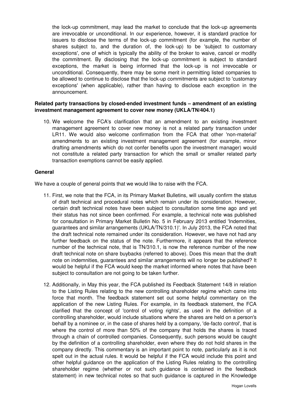the lock-up commitment, may lead the market to conclude that the lock-up agreements are irrevocable or unconditional. In our experience, however, it is standard practice for issuers to disclose the terms of the lock-up commitment (for example, the number of shares subject to, and the duration of, the lock-up) to be 'subject to customary exceptions', one of which is typically the ability of the broker to waive, cancel or modify the commitment. By disclosing that the lock-up commitment is subject to standard exceptions, the market is being informed that the lock-up is not irrevocable or unconditional. Consequently, there may be some merit in permitting listed companies to be allowed to continue to disclose that the lock-up commitments are subject to 'customary exceptions' (when applicable), rather than having to disclose each exception in the announcement.

## **Related party transactions by closed-ended investment funds – amendment of an existing investment management agreement to cover new money (UKLA/TN/404.1)**

10. We welcome the FCA's clarification that an amendment to an existing investment management agreement to cover new money is not a related party transaction under LR11. We would also welcome confirmation from the FCA that other 'non-material' amendments to an existing investment management agreement (for example, minor drafting amendments which do not confer benefits upon the investment manager) would not constitute a related party transaction for which the small or smaller related party transaction exemptions cannot be easily applied.

#### **General**

We have a couple of general points that we would like to raise with the FCA.

- 11. First, we note that the FCA, in its Primary Market Bulletins, will usually confirm the status of draft technical and procedural notes which remain under its consideration. However, certain draft technical notes have been subject to consultation some time ago and yet their status has not since been confirmed. For example, a technical note was published for consultation in Primary Market Bulletin No. 5 in February 2013 entitled 'Indemnities, guarantees and similar arrangements (UKLA/TN/310.1)'. In July 2013, the FCA noted that the draft technical note remained under its consideration. However, we have not had any further feedback on the status of the note. Furthermore, it appears that the reference number of the technical note, that is TN/310.1, is now the reference number of the new draft technical note on share buybacks (referred to above). Does this mean that the draft note on indemnities, guarantees and similar arrangements will no longer be published? It would be helpful if the FCA would keep the market informed where notes that have been subject to consultation are not going to be taken further.
- 12. Additionally, in May this year, the FCA published its Feedback Statement 14/8 in relation to the Listing Rules relating to the new controlling shareholder regime which came into force that month. The feedback statement set out some helpful commentary on the application of the new Listing Rules. For example, in its feedback statement, the FCA clarified that the concept of 'control of voting rights', as used in the definition of a controlling shareholder, would include situations where the shares are held on a person's behalf by a nominee or, in the case of shares held by a company, 'de-facto control', that is where the control of more than 50% of the company that holds the shares is traced through a chain of controlled companies. Consequently, such persons would be caught by the definition of a controlling shareholder, even where they do not hold shares in the company directly. This commentary is an important point to note, particularly as it is not spelt out in the actual rules. It would be helpful if the FCA would include this point and other helpful guidance on the application of the Listing Rules relating to the controlling shareholder regime (whether or not such guidance is contained in the feedback statement) in new technical notes so that such guidance is captured in the Knowledge